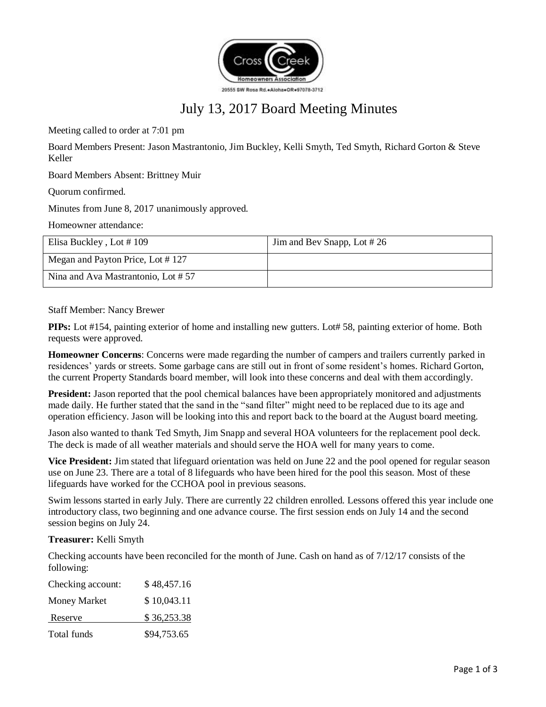

# July 13, 2017 Board Meeting Minutes

Meeting called to order at 7:01 pm

Board Members Present: Jason Mastrantonio, Jim Buckley, Kelli Smyth, Ted Smyth, Richard Gorton & Steve Keller

Board Members Absent: Brittney Muir

Quorum confirmed.

Minutes from June 8, 2017 unanimously approved.

Homeowner attendance:

| Elisa Buckley, Lot #109            | Jim and Bev Snapp, Lot #26 |
|------------------------------------|----------------------------|
| Megan and Payton Price, Lot #127   |                            |
| Nina and Ava Mastrantonio, Lot #57 |                            |

Staff Member: Nancy Brewer

**PIPs:** Lot #154, painting exterior of home and installing new gutters. Lot# 58, painting exterior of home. Both requests were approved.

**Homeowner Concerns**: Concerns were made regarding the number of campers and trailers currently parked in residences' yards or streets. Some garbage cans are still out in front of some resident's homes. Richard Gorton, the current Property Standards board member, will look into these concerns and deal with them accordingly.

**President:** Jason reported that the pool chemical balances have been appropriately monitored and adjustments made daily. He further stated that the sand in the "sand filter" might need to be replaced due to its age and operation efficiency. Jason will be looking into this and report back to the board at the August board meeting.

Jason also wanted to thank Ted Smyth, Jim Snapp and several HOA volunteers for the replacement pool deck. The deck is made of all weather materials and should serve the HOA well for many years to come.

**Vice President:** Jim stated that lifeguard orientation was held on June 22 and the pool opened for regular season use on June 23. There are a total of 8 lifeguards who have been hired for the pool this season. Most of these lifeguards have worked for the CCHOA pool in previous seasons.

Swim lessons started in early July. There are currently 22 children enrolled. Lessons offered this year include one introductory class, two beginning and one advance course. The first session ends on July 14 and the second session begins on July 24.

**Treasurer:** Kelli Smyth

Checking accounts have been reconciled for the month of June. Cash on hand as of 7/12/17 consists of the following:

| Checking account: | \$48,457.16 |
|-------------------|-------------|
| Money Market      | \$10,043.11 |
| Reserve           | \$36,253.38 |
| Total funds       | \$94,753.65 |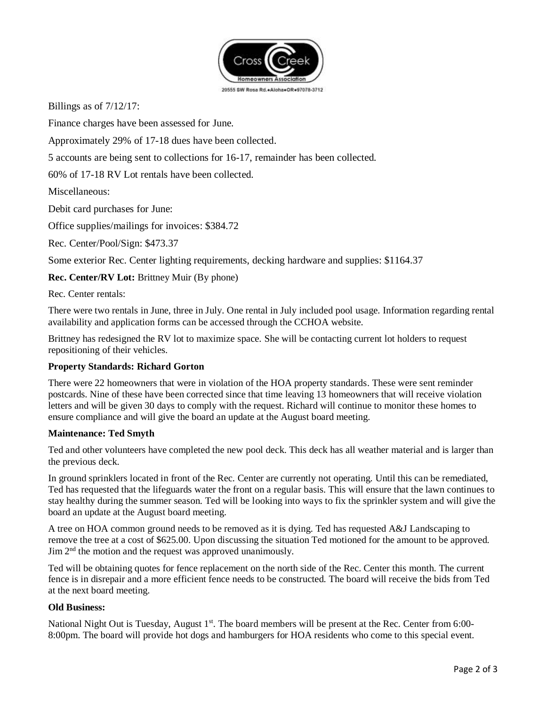

Billings as of 7/12/17:

Finance charges have been assessed for June.

Approximately 29% of 17-18 dues have been collected.

5 accounts are being sent to collections for 16-17, remainder has been collected.

60% of 17-18 RV Lot rentals have been collected.

Miscellaneous:

Debit card purchases for June:

Office supplies/mailings for invoices: \$384.72

Rec. Center/Pool/Sign: \$473.37

Some exterior Rec. Center lighting requirements, decking hardware and supplies: \$1164.37

**Rec. Center/RV Lot:** Brittney Muir (By phone)

Rec. Center rentals:

There were two rentals in June, three in July. One rental in July included pool usage. Information regarding rental availability and application forms can be accessed through the CCHOA website.

Brittney has redesigned the RV lot to maximize space. She will be contacting current lot holders to request repositioning of their vehicles.

#### **Property Standards: Richard Gorton**

There were 22 homeowners that were in violation of the HOA property standards. These were sent reminder postcards. Nine of these have been corrected since that time leaving 13 homeowners that will receive violation letters and will be given 30 days to comply with the request. Richard will continue to monitor these homes to ensure compliance and will give the board an update at the August board meeting.

#### **Maintenance: Ted Smyth**

Ted and other volunteers have completed the new pool deck. This deck has all weather material and is larger than the previous deck.

In ground sprinklers located in front of the Rec. Center are currently not operating. Until this can be remediated, Ted has requested that the lifeguards water the front on a regular basis. This will ensure that the lawn continues to stay healthy during the summer season. Ted will be looking into ways to fix the sprinkler system and will give the board an update at the August board meeting.

A tree on HOA common ground needs to be removed as it is dying. Ted has requested A&J Landscaping to remove the tree at a cost of \$625.00. Upon discussing the situation Ted motioned for the amount to be approved.  $\text{Jim } 2^{\text{nd}}$  the motion and the request was approved unanimously.

Ted will be obtaining quotes for fence replacement on the north side of the Rec. Center this month. The current fence is in disrepair and a more efficient fence needs to be constructed. The board will receive the bids from Ted at the next board meeting.

#### **Old Business:**

National Night Out is Tuesday, August 1<sup>st</sup>. The board members will be present at the Rec. Center from 6:00-8:00pm. The board will provide hot dogs and hamburgers for HOA residents who come to this special event.